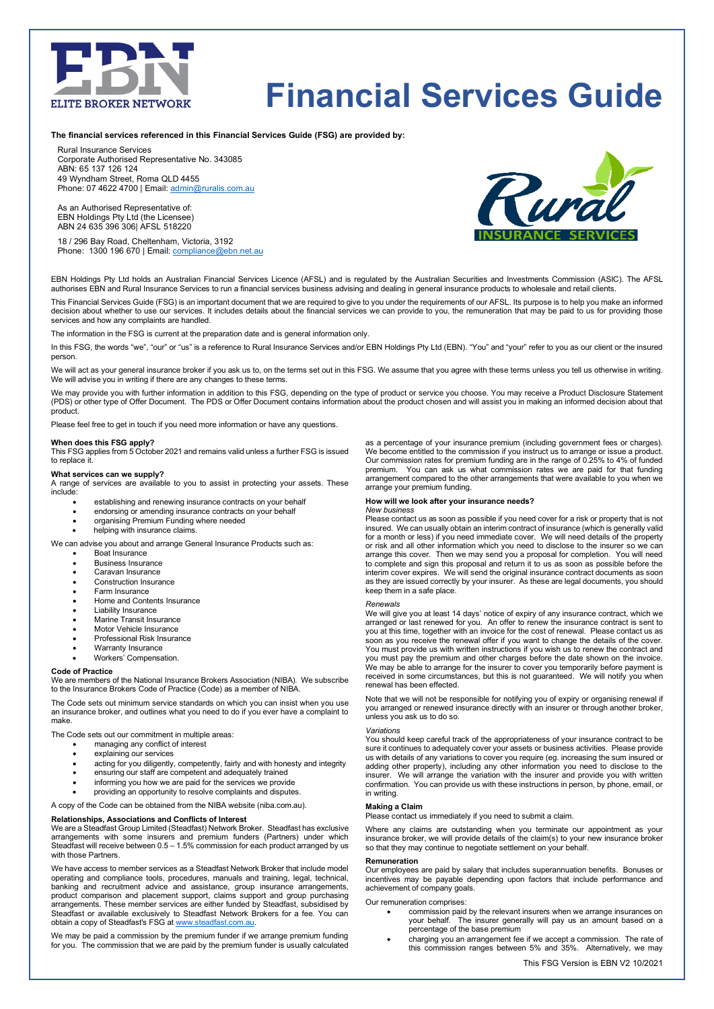

# **Financial Services Guide**

**The financial services referenced in this Financial Services Guide (FSG) are provided by:** 

Rural Insurance Services Corporate Authorised Representative No. 343085 ABN: 65 137 126 124 49 Wyndham Street, Roma QLD 4455 Phone: 07 4622 4700 | Email: [admin@ruralis.com.au](mailto:admin@ruralis.com.au)

As an Authorised Representative of: EBN Holdings Pty Ltd (the Licensee) ABN 24 635 396 306| AFSL 518220

18 / 296 Bay Road, Cheltenham, Victoria, 3192 Phone: 1300 196 670 | Email[: compliance@ebn.net.au](mailto:compliance@ebn.net.au)



EBN Holdings Pty Ltd holds an Australian Financial Services Licence (AFSL) and is regulated by the Australian Securities and Investments Commission (ASIC). The AFSL authorises EBN and Rural Insurance Services to run a financial services business advising and dealing in general insurance products to wholesale and retail clients.

This Financial Services Guide (FSG) is an important document that we are required to give to you under the requirements of our AFSL. Its purpose is to help you make an informed decision about whether to use our services. It includes details about the financial services we can provide to you, the remuneration that may be paid to us for providing those services and how any complaints are handled.

The information in the FSG is current at the preparation date and is general information only.

In this FSG, the words "we", "our" or "us" is a reference to Rural Insurance Services and/or EBN Holdings Pty Ltd (EBN). "You" and "your" refer to you as our client or the insured person.

We will act as your general insurance broker if you ask us to, on the terms set out in this FSG. We assume that you agree with these terms unless you tell us otherwise in writing. We will advise you in writing if there are any changes to these terms.

We may provide you with further information in addition to this FSG, depending on the type of product or service you choose. You may receive a Product Disclosure Statement<br>(PDS) or other type of Offer Document. The PDS or product.

Please feel free to get in touch if you need more information or have any questions.

**When does this FSG apply?**<br>This FSG applies from 5 October 2021 and remains valid unless a further FSG is issued to replace it.

## **What services can we supply?**

A range of services are available to you to assist in protecting your assets. These include:

- establishing and renewing insurance contracts on your behalf
- endorsing or amending insurance contracts on your behalf
- organising Premium Funding where needed
- helping with insurance claims.
- We can advise you about and arrange General Insurance Products such as:
	- Boat Insurance
	- Business Insurance
	- Caravan Insurance
	- Construction Insurance
	- Farm Insurance
	- Home and Contents Insurance
	- **Liability Insurance** • Marine Transit Insurance
	- Motor Vehicle Insurance
	- Professional Risk Insurance
	- Warranty Insurance
	- Workers' Compensation.

#### **Code of Practice**

We are members of the National Insurance Brokers Association (NIBA). We subscribe to the Insurance Brokers Code of Practice (Code) as a member of NIBA.

The Code sets out minimum service standards on which you can insist when you use an insurance broker, and outlines what you need to do if you ever have a complaint to make.

The Code sets out our commitment in multiple areas:

- managing any conflict of interest
- explaining our services
- acting for you diligently, competently, fairly and with honesty and integrity
- ensuring our staff are competent and adequately trained
- informing you how we are paid for the services we provide
- providing an opportunity to resolve complaints and disputes.

A copy of the Code can be obtained from the NIBA website (niba.com.au).

### **Relationships, Associations and Conflicts of Interest**

We are a Steadfast Group Limited (Steadfast) Network Broker. Steadfast has exclusive arrangements with some insurers and premium funders (Partners) under which Steadfast will receive between 0.5 – 1.5% commission for each product arranged by us with those Partners.

We have access to member services as a Steadfast Network Broker that include model operating and compliance tools, procedures, manuals and training, legal, technical, banking and recruitment advice and assistance, group insurance arrangements, product comparison and placement support, claims support and group purchasing arrangements. These member services are either funded by Steadfast, subsidised by Steadfast or available exclusively to Steadfast Network Brokers for a fee. You can obtain a copy of Steadfast's FSG a[t www.steadfast.com.au.](http://www.steadfast.com.au/)

We may be paid a commission by the premium funder if we arrange premium funding for you. The commission that we are paid by the premium funder is usually calculated

as a percentage of your insurance premium (including government fees or charges). We become entitled to the commission if you instruct us to arrange or issue a product. Our commission rates for premium funding are in the range of 0.25% to 4% of funded premium. You can ask us what commission rates we are paid for that funding arrangement compared to the other arrangements that were available to you when we arrange your premium funding.

#### **How will we look after your insurance needs?**

#### *New business*

Please contact us as soon as possible if you need cover for a risk or property that is not insured. We can usually obtain an interim contract of insurance (which is generally valid for a month or less) if you need immediate cover. We will need details of the property or risk and all other information which you need to disclose to the insurer so we can arrange this cover. Then we may send you a proposal for completion. You will need to complete and sign this proposal and return it to us as soon as possible before the<br>interim cover expires. We will send the original insurance contract documents as soon<br>as they are issued correctly by your insurer. As keep them in a safe place.

#### *Renewals*

We will give you at least 14 days' notice of expiry of any insurance contract, which we arranged or last renewed for you. An offer to renew the insurance contract is sent to you at this time, together with an invoice for the cost of renewal. Please contact us as soon as you receive the renewal offer if you want to change the details of the cover. You must provide us with written instructions if you wish us to renew the contract and you must pay the premium and other charges before the date shown on the invoice. We may be able to arrange for the insurer to cover you temporarily before payment is received in some circumstances, but this is not guaranteed. We will notify you when renewal has been effected.

Note that we will not be responsible for notifying you of expiry or organising renewal if you arranged or renewed insurance directly with an insurer or through another broker, unless you ask us to do so.

## *Variations*

You should keep careful track of the appropriateness of your insurance contract to be sure it continues to adequately cover your assets or business activities. Please provide us with details of any variations to cover you require (eg. increasing the sum insured or adding other property), including any other information you need to disclose to the insurer. We will arrange the variation with the insurer and provide you with written confirmation. You can provide us with these instructions in person, by phone, email, or in writing.

#### **Making a Claim**

Please contact us immediately if you need to submit a claim.

Where any claims are outstanding when you terminate our appointment as your insurance broker, we will provide details of the claim(s) to your new insurance broker so that they may continue to negotiate settlement on your behalf.

#### **Remuneration**

Our employees are paid by salary that includes superannuation benefits. Bonuses or incentives may be payable depending upon factors that include performance and achievement of company goals.

#### Our remuneration comprises:

- commission paid by the relevant insurers when we arrange insurances on your behalf. The insurer generally will pay us an amount based on a
- percentage of the base premium charging you an arrangement fee if we accept a commission. The rate of this commission ranges between 5% and 35%. Alternatively, we may